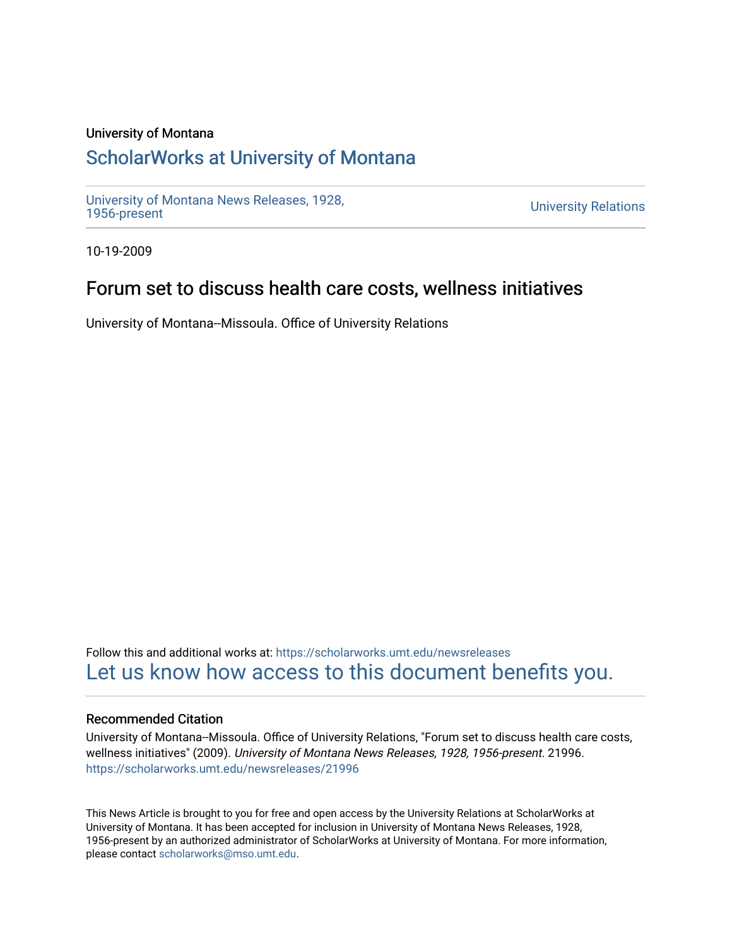#### University of Montana

# [ScholarWorks at University of Montana](https://scholarworks.umt.edu/)

[University of Montana News Releases, 1928,](https://scholarworks.umt.edu/newsreleases) 

**University Relations** 

10-19-2009

## Forum set to discuss health care costs, wellness initiatives

University of Montana--Missoula. Office of University Relations

Follow this and additional works at: [https://scholarworks.umt.edu/newsreleases](https://scholarworks.umt.edu/newsreleases?utm_source=scholarworks.umt.edu%2Fnewsreleases%2F21996&utm_medium=PDF&utm_campaign=PDFCoverPages) [Let us know how access to this document benefits you.](https://goo.gl/forms/s2rGfXOLzz71qgsB2) 

#### Recommended Citation

University of Montana--Missoula. Office of University Relations, "Forum set to discuss health care costs, wellness initiatives" (2009). University of Montana News Releases, 1928, 1956-present. 21996. [https://scholarworks.umt.edu/newsreleases/21996](https://scholarworks.umt.edu/newsreleases/21996?utm_source=scholarworks.umt.edu%2Fnewsreleases%2F21996&utm_medium=PDF&utm_campaign=PDFCoverPages) 

This News Article is brought to you for free and open access by the University Relations at ScholarWorks at University of Montana. It has been accepted for inclusion in University of Montana News Releases, 1928, 1956-present by an authorized administrator of ScholarWorks at University of Montana. For more information, please contact [scholarworks@mso.umt.edu.](mailto:scholarworks@mso.umt.edu)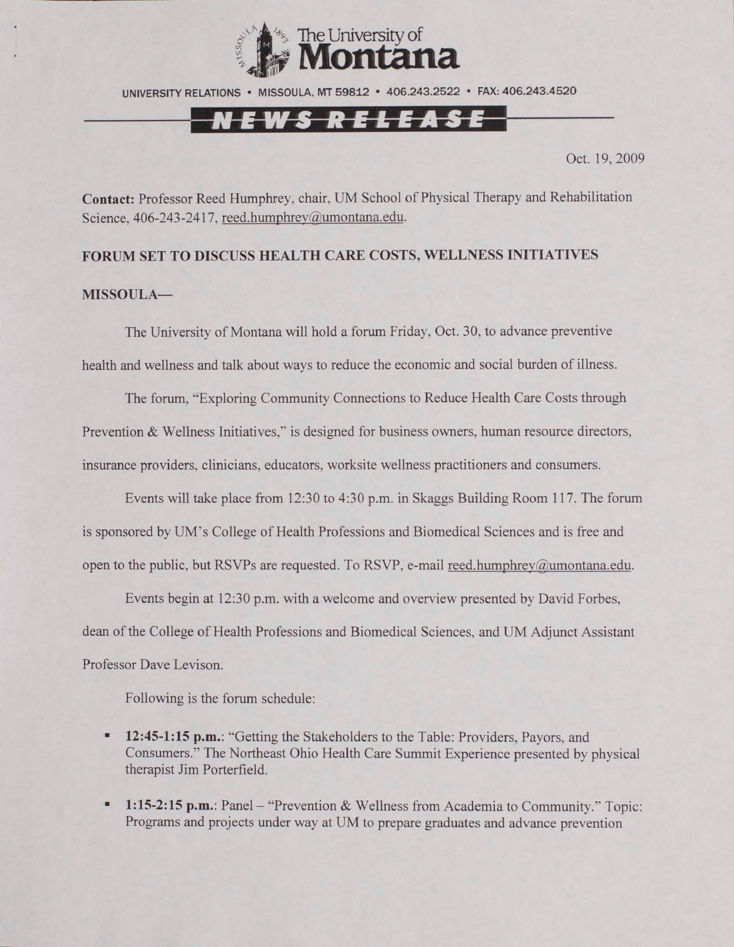

UNIVERSITY RELATIONS • MISSOULA. NIT 59812 • 406.243.2522 • FAX: 406.243.4520

### <u>NEWS RELEASE</u>

Oct. 19, 2009

**Contact:** Professor Reed Humphrey, chair. UM School of Physical Therapy and Rehabilitation Science, 406-243-2417, reed.humphrey@umontana.edu.

### **FORUM SET TO DISCUSS HEALTH CARE COSTS, WELLNESS INITIATIVES MISSOULA—**

The University of Montana will hold a forum Friday, Oct. 30, to advance preventive health and wellness and talk about ways to reduce the economic and social burden of illness.

The forum, "Exploring Community Connections to Reduce Health Care Costs through Prevention & Wellness Initiatives," is designed for business owners, human resource directors, insurance providers, clinicians, educators, worksite wellness practitioners and consumers.

Events will take place from 12:30 to 4:30 p.m. in Skaggs Building Room 117. The forum is sponsored by UM's College of Health Professions and Biomedical Sciences and is free and open to the public, but RSVPs are requested. To RSVP, e-mail reed.humphrey@umontana.edu.

Events begin at 12:30 p.m. with a welcome and overview presented by David Forbes, dean of the College of Health Professions and Biomedical Sciences, and UM Adjunct Assistant Professor Dave Levison.

Following is the forum schedule:

- **12:45-1:15 p.m.:** "Getting the Stakeholders to the Table: Providers, Payors, and Consumers." The Northeast Ohio Health Care Summit Experience presented by physical therapist Jim Porterfield.
- **1:15-2:15 p.m.: Panel "Prevention & Wellness from Academia to Community." Topic:** Programs and projects under way at UM to prepare graduates and advance prevention